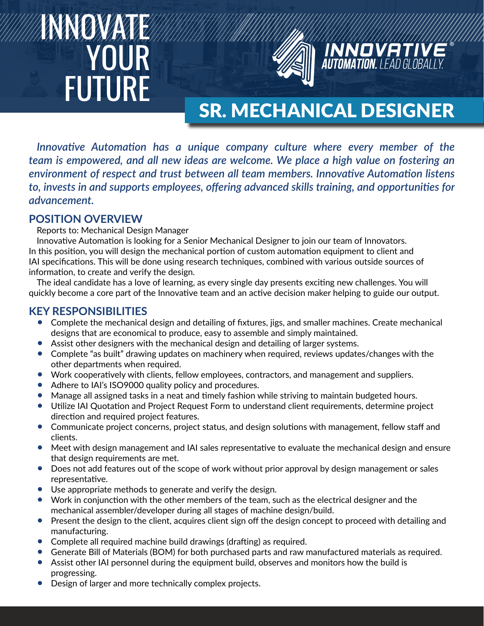# INNOVATE YOUR FUTURE



# SR. MECHANICAL DESIGNER

**INNOVATIVE**<br>Automation. LEAD GLOBALLY.

*Innovative Automation has a unique company culture where every member of the team is empowered, and all new ideas are welcome. We place a high value on fostering an environment of respect and trust between all team members. Innovative Automation listens to, invests in and supports employees, offering advanced skills training, and opportunities for advancement.*

## **POSITION OVERVIEW**

Reports to: Mechanical Design Manager

Innovative Automation is looking for a Senior Mechanical Designer to join our team of Innovators. In this position, you will design the mechanical portion of custom automation equipment to client and IAI specifications. This will be done using research techniques, combined with various outside sources of information, to create and verify the design.

The ideal candidate has a love of learning, as every single day presents exciting new challenges. You will quickly become a core part of the Innovative team and an active decision maker helping to guide our output.

### **KEY RESPONSIBILITIES**

- Complete the mechanical design and detailing of fixtures, jigs, and smaller machines. Create mechanical designs that are economical to produce, easy to assemble and simply maintained.
- Assist other designers with the mechanical design and detailing of larger systems.
- Complete "as built" drawing updates on machinery when required, reviews updates/changes with the other departments when required.
- Work cooperatively with clients, fellow employees, contractors, and management and suppliers.
- Adhere to IAI's ISO9000 quality policy and procedures.
- Manage all assigned tasks in a neat and timely fashion while striving to maintain budgeted hours.
- Utilize IAI Quotation and Project Request Form to understand client requirements, determine project direction and required project features.
- Communicate project concerns, project status, and design solutions with management, fellow staff and clients.
- Meet with design management and IAI sales representative to evaluate the mechanical design and ensure that design requirements are met.
- Does not add features out of the scope of work without prior approval by design management or sales representative.
- Use appropriate methods to generate and verify the design.
- Work in conjunction with the other members of the team, such as the electrical designer and the mechanical assembler/developer during all stages of machine design/build.
- Present the design to the client, acquires client sign off the design concept to proceed with detailing and manufacturing.
- Complete all required machine build drawings (drafting) as required.
- Generate Bill of Materials (BOM) for both purchased parts and raw manufactured materials as required.
- Assist other IAI personnel during the equipment build, observes and monitors how the build is progressing.
- Design of larger and more technically complex projects.